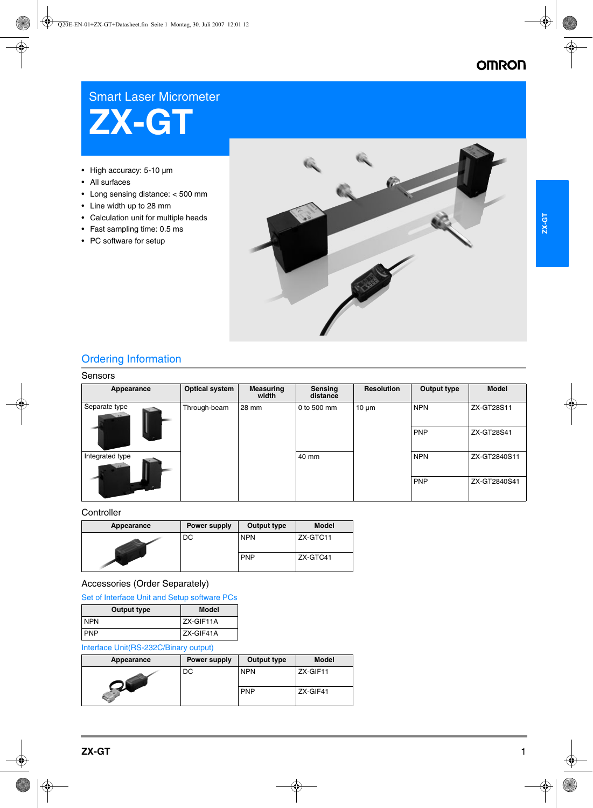# **OMRON**

# Smart Laser Micrometer



- High accuracy: 5-10 µm
- All surfaces
- Long sensing distance: < 500 mm
- Line width up to 28 mm
- Calculation unit for multiple heads
- Fast sampling time: 0.5 ms
- PC software for setup



# Ordering Information

### Sensors

| Appearance      | <b>Optical system</b> | <b>Measuring</b><br>width | Sensing<br>distance | <b>Resolution</b> | Output type | <b>Model</b> |
|-----------------|-----------------------|---------------------------|---------------------|-------------------|-------------|--------------|
| Separate type   | Through-beam          | 28 mm                     | 0 to 500 mm         | $10 \mu m$        | <b>NPN</b>  | ZX-GT28S11   |
|                 |                       |                           |                     |                   | <b>PNP</b>  | ZX-GT28S41   |
| Integrated type |                       |                           | 40 mm               |                   | <b>NPN</b>  | ZX-GT2840S11 |
|                 |                       |                           |                     |                   | <b>PNP</b>  | ZX-GT2840S41 |

## **Controller**

| Appearance | Power supply | Output type | <b>Model</b> |
|------------|--------------|-------------|--------------|
|            | DC           | <b>NPN</b>  | ZX-GTC11     |
|            |              | <b>PNP</b>  | ZX-GTC41     |

## Accessories (Order Separately)

| Set of Interface Unit and Setup software PCs |  |  |  |  |  |  |
|----------------------------------------------|--|--|--|--|--|--|
|----------------------------------------------|--|--|--|--|--|--|

| Output type | <b>Model</b> |
|-------------|--------------|
| <b>NPN</b>  | ZX-GIF11A    |
| <b>PNP</b>  | ZX-GIF41A    |

## Interface Unit(RS-232C/Binary output)

| Appearance | Power supply | Output type | Model    |
|------------|--------------|-------------|----------|
|            | DC           | <b>NPN</b>  | ZX-GIF11 |
|            |              | <b>PNP</b>  | ZX-GIF41 |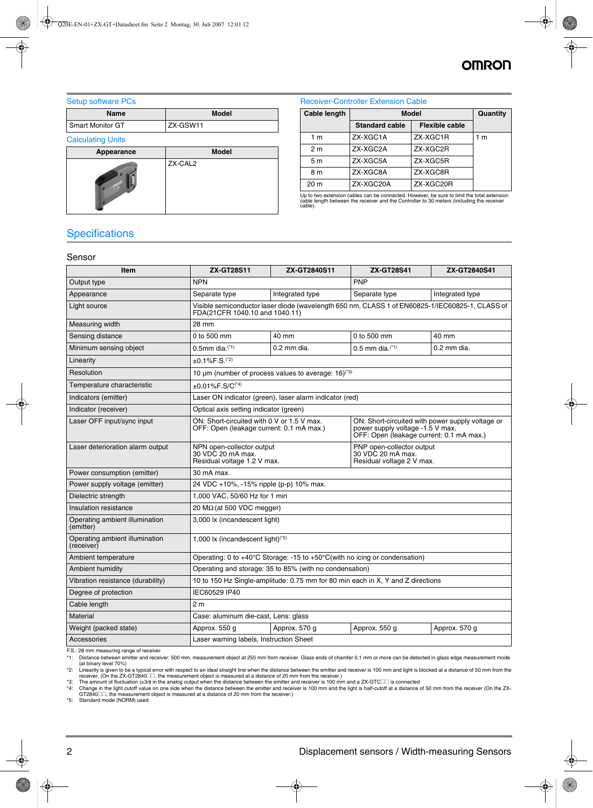# **OMRO**

Setup software PCs

| Name             | <b>Model</b> |
|------------------|--------------|
| Smart Monitor GT | ZX-GSW11     |

#### Calculating Units

| Appearance | <b>Model</b> |
|------------|--------------|
|            | ZX-CAL2      |

### Receiver-Controller Extension Cable

| Cable length    | <b>Model</b>          | Quantity              |     |
|-----------------|-----------------------|-----------------------|-----|
|                 | <b>Standard cable</b> | <b>Flexible cable</b> |     |
| 1 m             | ZX-XGC1A              | ZX-XGC1R              | 1 m |
| 2 m             | ZX-XGC2A              | ZX-XGC2R              |     |
| 5 m             | ZX-XGC5A              | ZX-XGC5R              |     |
| 8 m             | ZX-XGC8A              | ZX-XGC8R              |     |
| 20 <sub>m</sub> | ZX-XGC20A             | ZX-XGC20R             |     |

Up to two extension cables can be connected. However, be sure to limit the total extension cable length between the receiver and the Controller to 30 meters (including the receiver cable).

# **Specifications**

#### Sensor

| Item                                         | <b>ZX-GT28S11</b>                                                                                                                                                                                                          | ZX-GT2840S11                                                                                   | <b>ZX-GT28S41</b>                         | ZX-GT2840S41    |
|----------------------------------------------|----------------------------------------------------------------------------------------------------------------------------------------------------------------------------------------------------------------------------|------------------------------------------------------------------------------------------------|-------------------------------------------|-----------------|
| Output type                                  | <b>NPN</b>                                                                                                                                                                                                                 |                                                                                                | <b>PNP</b>                                |                 |
| Appearance                                   | Separate type                                                                                                                                                                                                              | Integrated type                                                                                | Separate type                             | Integrated type |
| Light source                                 | Visible semiconductor laser diode (wavelength 650 nm, CLASS 1 of EN60825-1/IEC60825-1, CLASS of<br>FDA(21CFR 1040.10 and 1040.11)                                                                                          |                                                                                                |                                           |                 |
| Measuring width                              | 28 mm                                                                                                                                                                                                                      |                                                                                                |                                           |                 |
| Sensing distance                             | 0 to 500 mm                                                                                                                                                                                                                | 40 mm                                                                                          | 0 to 500 mm                               | 40 mm           |
| Minimum sensing object                       | $0.5$ mm dia. <sup><math>(1)</math></sup>                                                                                                                                                                                  | $0.2$ mm dia.                                                                                  | $0.5$ mm dia. <sup><math>(1)</math></sup> | $0.2$ mm dia.   |
| Linearity                                    | $±0.1\%F.S.(2)$                                                                                                                                                                                                            |                                                                                                |                                           |                 |
| Resolution                                   |                                                                                                                                                                                                                            | 10 $\mu$ m (number of process values to average: 16) <sup>(3)</sup>                            |                                           |                 |
| Temperature characteristic                   | $\pm 0.01\%$ F.S/C <sup>(*4)</sup>                                                                                                                                                                                         |                                                                                                |                                           |                 |
| Indicators (emitter)                         |                                                                                                                                                                                                                            | Laser ON indicator (green), laser alarm indicator (red)                                        |                                           |                 |
| Indicator (receiver)                         | Optical axis setting indicator (green)                                                                                                                                                                                     |                                                                                                |                                           |                 |
| Laser OFF input/sync input                   | ON: Short-circuited with 0 V or 1.5 V max.<br>ON: Short-circuited with power supply voltage or<br>OFF: Open (leakage current: 0.1 mA max.)<br>power supply voltage -1.5 V max.<br>OFF: Open (leakage current: 0.1 mA max.) |                                                                                                |                                           |                 |
| Laser deterioration alarm output             | PNP open-collector output<br>NPN open-collector output<br>30 VDC 20 mA max.<br>30 VDC 20 mA max.<br>Residual voltage 1.2 V max.<br>Residual voltage 2 V max.                                                               |                                                                                                |                                           |                 |
| Power consumption (emitter)                  | 30 mA max.                                                                                                                                                                                                                 |                                                                                                |                                           |                 |
| Power supply voltage (emitter)               | 24 VDC +10%, -15% ripple (p-p) 10% max.                                                                                                                                                                                    |                                                                                                |                                           |                 |
| Dielectric strength                          | 1,000 VAC, 50/60 Hz for 1 min                                                                                                                                                                                              |                                                                                                |                                           |                 |
| Insulation resistance                        | 20 M $\Omega$ (at 500 VDC megger)                                                                                                                                                                                          |                                                                                                |                                           |                 |
| Operating ambient illumination<br>(emitter)  | 3,000 lx (incandescent light)                                                                                                                                                                                              |                                                                                                |                                           |                 |
| Operating ambient illumination<br>(receiver) | 1,000 lx (incandescent light) $(5)$                                                                                                                                                                                        |                                                                                                |                                           |                 |
| Ambient temperature                          |                                                                                                                                                                                                                            | Operating: 0 to $+40^{\circ}$ C Storage: -15 to $+50^{\circ}$ C(with no icing or condensation) |                                           |                 |
| Ambient humidity                             |                                                                                                                                                                                                                            | Operating and storage: 35 to 85% (with no condensation)                                        |                                           |                 |
| Vibration resistance (durability)            | 10 to 150 Hz Single-amplitude: 0.75 mm for 80 min each in X, Y and Z directions                                                                                                                                            |                                                                                                |                                           |                 |
| Degree of protection                         | IEC60529 IP40                                                                                                                                                                                                              |                                                                                                |                                           |                 |
| Cable length                                 | 2 <sub>m</sub>                                                                                                                                                                                                             |                                                                                                |                                           |                 |
| <b>Material</b>                              | Case: aluminum die-cast, Lens: glass                                                                                                                                                                                       |                                                                                                |                                           |                 |
| Weight (packed state)                        | Approx. 550 g<br>Approx. 570 g                                                                                                                                                                                             |                                                                                                | Approx. 550 g                             | Approx. 570 g   |
| Accessories                                  | Laser warning labels, Instruction Sheet                                                                                                                                                                                    |                                                                                                |                                           |                 |

F.S.: 28 mm measuring range of receiver

<span id="page-1-0"></span>\*1: Distance between emitter and receiver: 500 mm, measurement object at 250 mm from receiver. Glass ends of chamfer 0.1 mm or more can be detected in glass edge measurement mode. (at binary level 70%)

\*2: Linearity is given to be a typical error with respect to an ideal straight line when the distance between the emitter and receiver is 100 mm and light is blocked at a distance of 50 mm from the the mitter and receiver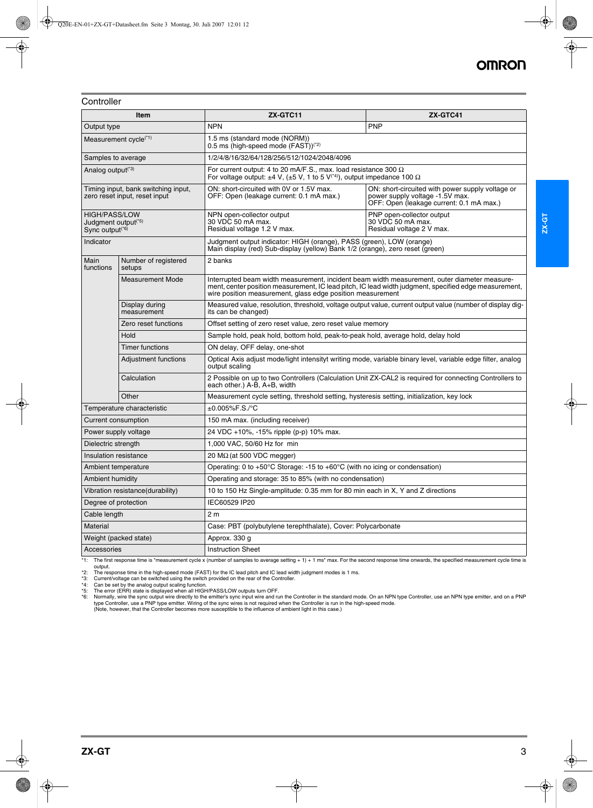**Controller** 

|                                         | Item                                                                                                                                                                                                                                                   | ZX-GTC11                                                                                                                                                                        | ZX-GTC41                                                                                                                        |  |
|-----------------------------------------|--------------------------------------------------------------------------------------------------------------------------------------------------------------------------------------------------------------------------------------------------------|---------------------------------------------------------------------------------------------------------------------------------------------------------------------------------|---------------------------------------------------------------------------------------------------------------------------------|--|
| Output type                             |                                                                                                                                                                                                                                                        | <b>NPN</b>                                                                                                                                                                      | PNP                                                                                                                             |  |
|                                         | Measurement cycle <sup>(*1)</sup>                                                                                                                                                                                                                      | 1.5 ms (standard mode (NORM))<br>0.5 ms (high-speed mode (FAST)) <sup>(*2)</sup>                                                                                                |                                                                                                                                 |  |
| Samples to average                      |                                                                                                                                                                                                                                                        | 1/2/4/8/16/32/64/128/256/512/1024/2048/4096                                                                                                                                     |                                                                                                                                 |  |
| Analog output <sup>(*3)</sup>           |                                                                                                                                                                                                                                                        | For current output: 4 to 20 mA/F.S., max. load resistance 300 $\Omega$<br>For voltage output: $\pm 4$ V, ( $\pm 5$ V, 1 to 5 V <sup>(*4)</sup> ), output impedance 100 $\Omega$ |                                                                                                                                 |  |
|                                         | Timing input, bank switching input,<br>zero reset input, reset input                                                                                                                                                                                   | ON: short-circuited with 0V or 1.5V max.<br>OFF: Open (leakage current: 0.1 mA max.)                                                                                            | ON: short-circuited with power supply voltage or<br>power supply voltage -1.5V max.<br>OFF: Open (leakage current: 0.1 mA max.) |  |
|                                         | <b>HIGH/PASS/LOW</b><br>PNP open-collector output<br>NPN open-collector output<br>30 VDC 50 mA max.<br>30 VDC 50 mA max.<br>Judgment output <sup>(*5)</sup><br>Residual voltage 1.2 V max.<br>Residual voltage 2 V max.<br>Sync output <sup>(*6)</sup> |                                                                                                                                                                                 |                                                                                                                                 |  |
| Indicator                               |                                                                                                                                                                                                                                                        | Judgment output indicator: HIGH (orange), PASS (green), LOW (orange)<br>Main display (red) Sub-display (yellow) Bank 1/2 (orange), zero reset (green)                           |                                                                                                                                 |  |
| Main<br>functions                       | Number of registered<br>setups                                                                                                                                                                                                                         | 2 banks                                                                                                                                                                         |                                                                                                                                 |  |
|                                         | <b>Measurement Mode</b>                                                                                                                                                                                                                                | Interrupted beam width measurement, incident beam width measurement, outer diameter measure-<br>wire position measurement, glass edge position measurement                      | ment, center position measurement, IC lead pitch, IC lead width judgment, specified edge measurement,                           |  |
|                                         | Display during<br>measurement                                                                                                                                                                                                                          | Measured value, resolution, threshold, voltage output value, current output value (number of display dig-<br>its can be changed)                                                |                                                                                                                                 |  |
|                                         | Zero reset functions                                                                                                                                                                                                                                   | Offset setting of zero reset value, zero reset value memory                                                                                                                     |                                                                                                                                 |  |
|                                         | Hold                                                                                                                                                                                                                                                   | Sample hold, peak hold, bottom hold, peak-to-peak hold, average hold, delay hold                                                                                                |                                                                                                                                 |  |
|                                         | Timer functions                                                                                                                                                                                                                                        | ON delay, OFF delay, one-shot                                                                                                                                                   |                                                                                                                                 |  |
|                                         | <b>Adjustment functions</b>                                                                                                                                                                                                                            | Optical Axis adjust mode/light intensityt writing mode, variable binary level, variable edge filter, analog<br>output scaling                                                   |                                                                                                                                 |  |
|                                         | Calculation                                                                                                                                                                                                                                            | 2 Possible on up to two Controllers (Calculation Unit ZX-CAL2 is required for connecting Controllers to<br>each other.) A-B, A+B, width                                         |                                                                                                                                 |  |
|                                         | Other                                                                                                                                                                                                                                                  | Measurement cycle setting, threshold setting, hysteresis setting, initialization, key lock                                                                                      |                                                                                                                                 |  |
|                                         | Temperature characteristic                                                                                                                                                                                                                             | $±0.005%$ F.S./°C                                                                                                                                                               |                                                                                                                                 |  |
| Current consumption                     |                                                                                                                                                                                                                                                        | 150 mA max. (including receiver)                                                                                                                                                |                                                                                                                                 |  |
| Power supply voltage                    |                                                                                                                                                                                                                                                        | 24 VDC +10%, -15% ripple (p-p) 10% max.                                                                                                                                         |                                                                                                                                 |  |
| Dielectric strength                     |                                                                                                                                                                                                                                                        | 1,000 VAC, 50/60 Hz for min                                                                                                                                                     |                                                                                                                                 |  |
| <b>Insulation resistance</b>            |                                                                                                                                                                                                                                                        | 20 M $\Omega$ (at 500 VDC megger)                                                                                                                                               |                                                                                                                                 |  |
| Ambient temperature                     |                                                                                                                                                                                                                                                        | Operating: 0 to +50°C Storage: -15 to +60°C (with no icing or condensation)                                                                                                     |                                                                                                                                 |  |
| <b>Ambient humidity</b>                 |                                                                                                                                                                                                                                                        | Operating and storage: 35 to 85% (with no condensation)                                                                                                                         |                                                                                                                                 |  |
|                                         | Vibration resistance(durability)                                                                                                                                                                                                                       | 10 to 150 Hz Single-amplitude: 0.35 mm for 80 min each in X, Y and Z directions                                                                                                 |                                                                                                                                 |  |
| Degree of protection                    |                                                                                                                                                                                                                                                        | IEC60529 IP20                                                                                                                                                                   |                                                                                                                                 |  |
| Cable length                            |                                                                                                                                                                                                                                                        | 2 <sub>m</sub>                                                                                                                                                                  |                                                                                                                                 |  |
| Material                                |                                                                                                                                                                                                                                                        | Case: PBT (polybutylene terephthalate), Cover: Polycarbonate                                                                                                                    |                                                                                                                                 |  |
|                                         | Weight (packed state)                                                                                                                                                                                                                                  | Approx. 330 g                                                                                                                                                                   |                                                                                                                                 |  |
| Accessories<br><b>Instruction Sheet</b> |                                                                                                                                                                                                                                                        |                                                                                                                                                                                 |                                                                                                                                 |  |

\*1: The first response time is "measurement cycle x (number of samples to average setting + 1) + 1 ms" max. For the second response time onwards, the specified measurement cycle time is output.

\*2: The response time in the high-speed mode (FAST) for the IC lead pitch and IC lead width judgment modes is 1 ms.<br>\*3: Current/voltage can be switched using the switch provided on the rear of the Controller.<br>\*4: Can be se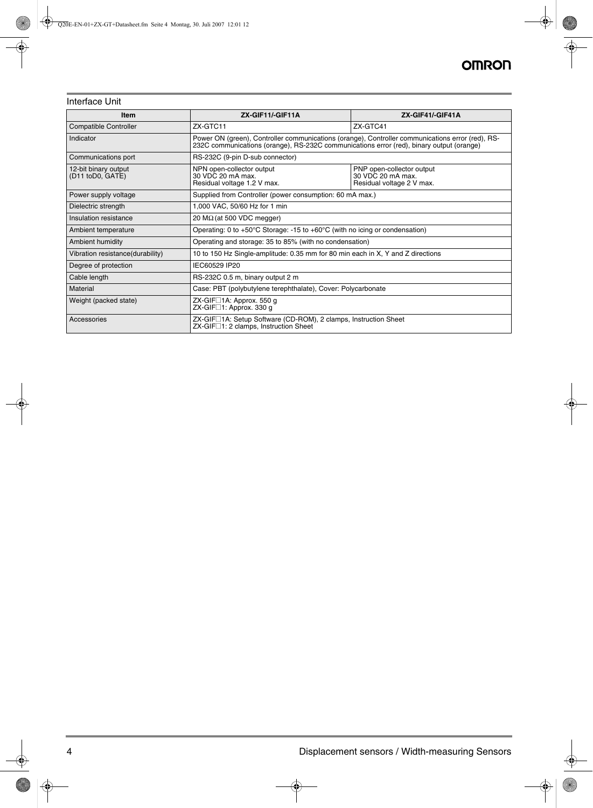# Interface Unit

| <b>Item</b>                              | ZX-GIF11/-GIF11A<br>ZX-GIF41/-GIF41A                                                                                                                                                         |  |  |
|------------------------------------------|----------------------------------------------------------------------------------------------------------------------------------------------------------------------------------------------|--|--|
| <b>Compatible Controller</b>             | ZX-GTC11<br>ZX-GTC41                                                                                                                                                                         |  |  |
| Indicator                                | Power ON (green), Controller communications (orange), Controller communications error (red), RS-<br>232C communications (orange), RS-232C communications error (red), binary output (orange) |  |  |
| Communications port                      | RS-232C (9-pin D-sub connector)                                                                                                                                                              |  |  |
| 12-bit binary output<br>(D11 toD0, GATE) | NPN open-collector output<br>PNP open-collector output<br>30 VDC 20 mA max.<br>30 VDC 20 mA max.<br>Residual voltage 1.2 V max.<br>Residual voltage 2 V max.                                 |  |  |
| Power supply voltage                     | Supplied from Controller (power consumption: 60 mA max.)                                                                                                                                     |  |  |
| Dielectric strength                      | 1,000 VAC, 50/60 Hz for 1 min                                                                                                                                                                |  |  |
| Insulation resistance                    | 20 M $\Omega$ (at 500 VDC megger)                                                                                                                                                            |  |  |
| Ambient temperature                      | Operating: 0 to +50 $\degree$ C Storage: -15 to +60 $\degree$ C (with no icing or condensation)                                                                                              |  |  |
| Ambient humidity                         | Operating and storage: 35 to 85% (with no condensation)                                                                                                                                      |  |  |
| Vibration resistance(durability)         | 10 to 150 Hz Single-amplitude: 0.35 mm for 80 min each in X, Y and Z directions                                                                                                              |  |  |
| Degree of protection                     | IEC60529 IP20                                                                                                                                                                                |  |  |
| Cable length                             | RS-232C 0.5 m, binary output 2 m                                                                                                                                                             |  |  |
| Material                                 | Case: PBT (polybutylene terephthalate), Cover: Polycarbonate                                                                                                                                 |  |  |
| Weight (packed state)                    | ZX-GIF $\square$ 1A: Approx. 550 g<br>ZX-GIF□1: Approx. 330 g                                                                                                                                |  |  |
| Accessories                              | ZX-GIF□1A: Setup Software (CD-ROM), 2 clamps, Instruction Sheet<br>ZX-GIF□1: 2 clamps, Instruction Sheet                                                                                     |  |  |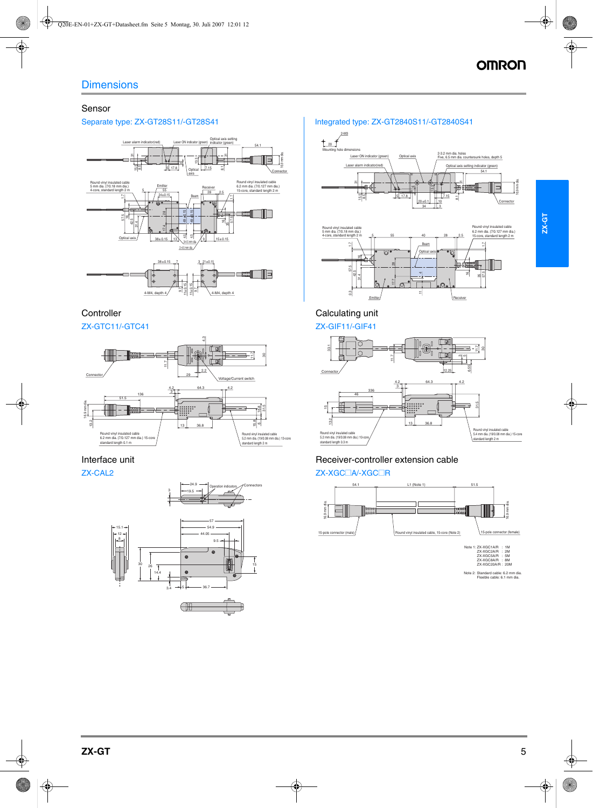## Sensor



# **Controller**



## Interface unit

ZX-CAL2



## Separate type: ZX-GT28S11/-GT28S41 Integrated type: ZX-GT2840S11/-GT2840S41



**ZX-GT**



# Receiver-controller extension cable

Calculating unit